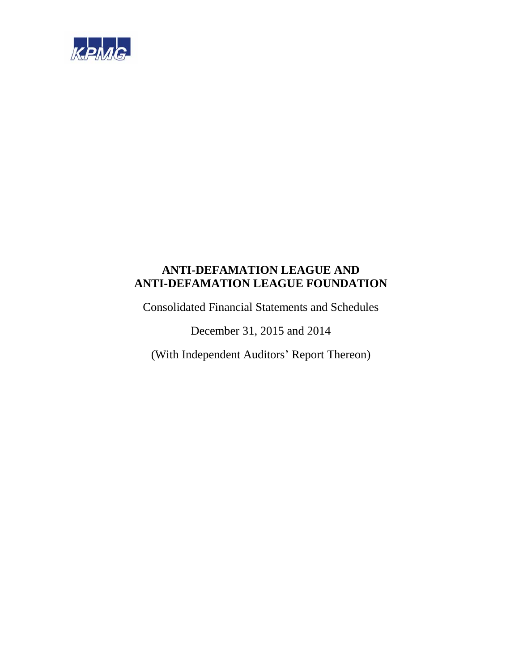

Consolidated Financial Statements and Schedules

December 31, 2015 and 2014

(With Independent Auditors' Report Thereon)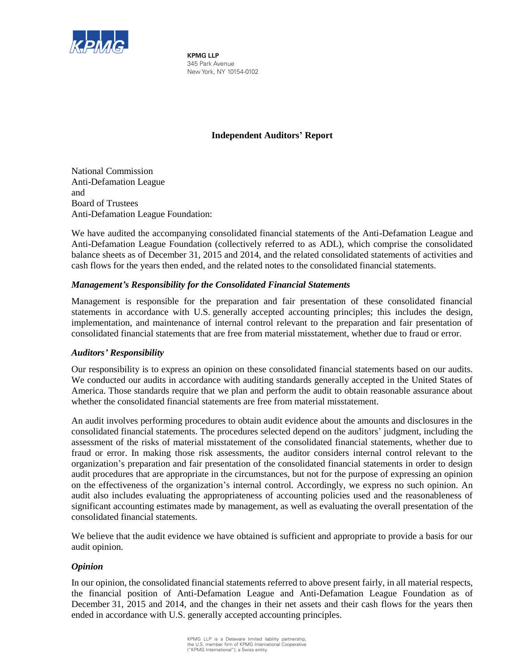

**KPMG LLP** 345 Park Avenue New York, NY 10154-0102

## **Independent Auditors' Report**

National Commission Anti-Defamation League and Board of Trustees Anti-Defamation League Foundation:

We have audited the accompanying consolidated financial statements of the Anti-Defamation League and Anti-Defamation League Foundation (collectively referred to as ADL), which comprise the consolidated balance sheets as of December 31, 2015 and 2014, and the related consolidated statements of activities and cash flows for the years then ended, and the related notes to the consolidated financial statements.

## *Management's Responsibility for the Consolidated Financial Statements*

Management is responsible for the preparation and fair presentation of these consolidated financial statements in accordance with U.S. generally accepted accounting principles; this includes the design, implementation, and maintenance of internal control relevant to the preparation and fair presentation of consolidated financial statements that are free from material misstatement, whether due to fraud or error.

## *Auditors' Responsibility*

Our responsibility is to express an opinion on these consolidated financial statements based on our audits. We conducted our audits in accordance with auditing standards generally accepted in the United States of America. Those standards require that we plan and perform the audit to obtain reasonable assurance about whether the consolidated financial statements are free from material misstatement.

An audit involves performing procedures to obtain audit evidence about the amounts and disclosures in the consolidated financial statements. The procedures selected depend on the auditors' judgment, including the assessment of the risks of material misstatement of the consolidated financial statements, whether due to fraud or error. In making those risk assessments, the auditor considers internal control relevant to the organization's preparation and fair presentation of the consolidated financial statements in order to design audit procedures that are appropriate in the circumstances, but not for the purpose of expressing an opinion on the effectiveness of the organization's internal control. Accordingly, we express no such opinion. An audit also includes evaluating the appropriateness of accounting policies used and the reasonableness of significant accounting estimates made by management, as well as evaluating the overall presentation of the consolidated financial statements.

We believe that the audit evidence we have obtained is sufficient and appropriate to provide a basis for our audit opinion.

## *Opinion*

In our opinion, the consolidated financial statements referred to above present fairly, in all material respects, the financial position of Anti-Defamation League and Anti-Defamation League Foundation as of December 31, 2015 and 2014, and the changes in their net assets and their cash flows for the years then ended in accordance with U.S. generally accepted accounting principles.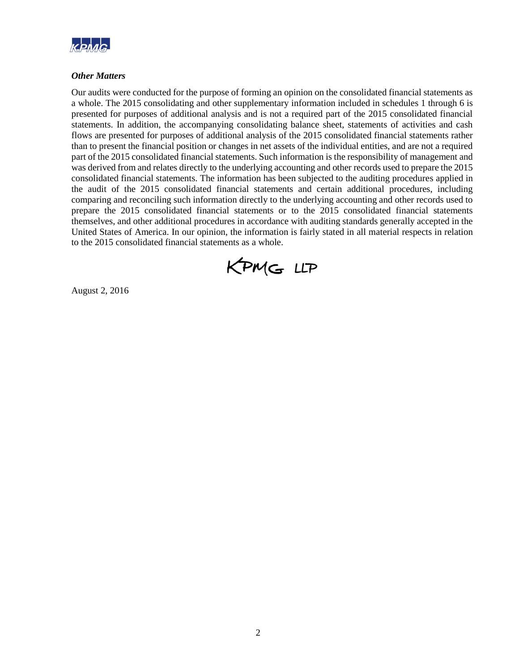

## *Other Matters*

Our audits were conducted for the purpose of forming an opinion on the consolidated financial statements as a whole. The 2015 consolidating and other supplementary information included in schedules 1 through 6 is presented for purposes of additional analysis and is not a required part of the 2015 consolidated financial statements. In addition, the accompanying consolidating balance sheet, statements of activities and cash flows are presented for purposes of additional analysis of the 2015 consolidated financial statements rather than to present the financial position or changes in net assets of the individual entities, and are not a required part of the 2015 consolidated financial statements. Such information is the responsibility of management and was derived from and relates directly to the underlying accounting and other records used to prepare the 2015 consolidated financial statements. The information has been subjected to the auditing procedures applied in the audit of the 2015 consolidated financial statements and certain additional procedures, including comparing and reconciling such information directly to the underlying accounting and other records used to prepare the 2015 consolidated financial statements or to the 2015 consolidated financial statements themselves, and other additional procedures in accordance with auditing standards generally accepted in the United States of America. In our opinion, the information is fairly stated in all material respects in relation to the 2015 consolidated financial statements as a whole.



August 2, 2016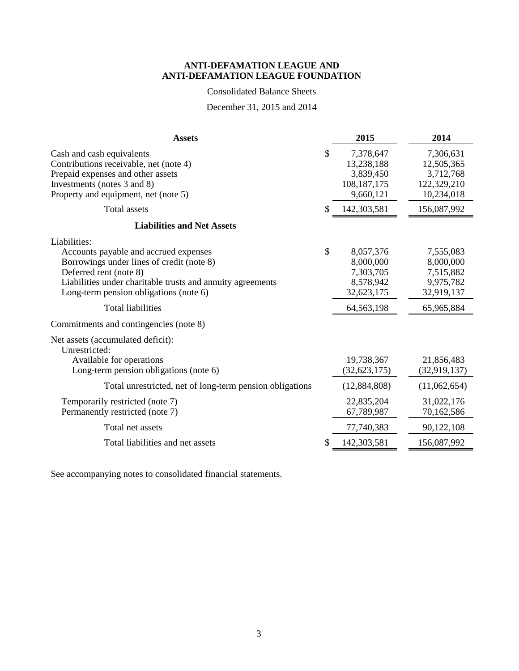## Consolidated Balance Sheets

December 31, 2015 and 2014

| <b>Assets</b>                                                                                                                                                                                                                                                    |     | 2015                                                                           | 2014                                                                         |
|------------------------------------------------------------------------------------------------------------------------------------------------------------------------------------------------------------------------------------------------------------------|-----|--------------------------------------------------------------------------------|------------------------------------------------------------------------------|
| Cash and cash equivalents<br>Contributions receivable, net (note 4)<br>Prepaid expenses and other assets<br>Investments (notes 3 and 8)<br>Property and equipment, net (note 5)                                                                                  | \$  | 7,378,647<br>13,238,188<br>3,839,450<br>108, 187, 175<br>9,660,121             | 7,306,631<br>12,505,365<br>3,712,768<br>122,329,210<br>10,234,018            |
| <b>Total assets</b>                                                                                                                                                                                                                                              | \$. | 142,303,581                                                                    | 156,087,992                                                                  |
| <b>Liabilities and Net Assets</b>                                                                                                                                                                                                                                |     |                                                                                |                                                                              |
| Liabilities:<br>Accounts payable and accrued expenses<br>Borrowings under lines of credit (note 8)<br>Deferred rent (note 8)<br>Liabilities under charitable trusts and annuity agreements<br>Long-term pension obligations (note 6)<br><b>Total liabilities</b> | \$  | 8,057,376<br>8,000,000<br>7,303,705<br>8,578,942<br>32,623,175<br>64, 563, 198 | 7,555,083<br>8,000,000<br>7,515,882<br>9,975,782<br>32,919,137<br>65,965,884 |
| Commitments and contingencies (note 8)                                                                                                                                                                                                                           |     |                                                                                |                                                                              |
| Net assets (accumulated deficit):<br>Unrestricted:<br>Available for operations<br>Long-term pension obligations (note 6)                                                                                                                                         |     | 19,738,367<br>(32, 623, 175)                                                   | 21,856,483<br>(32, 919, 137)                                                 |
| Total unrestricted, net of long-term pension obligations                                                                                                                                                                                                         |     | (12,884,808)                                                                   | (11,062,654)                                                                 |
| Temporarily restricted (note 7)<br>Permanently restricted (note 7)                                                                                                                                                                                               |     | 22,835,204<br>67,789,987                                                       | 31,022,176<br>70,162,586                                                     |
| Total net assets                                                                                                                                                                                                                                                 |     | 77,740,383                                                                     | 90,122,108                                                                   |
| Total liabilities and net assets                                                                                                                                                                                                                                 | S   | 142,303,581                                                                    | 156,087,992                                                                  |

See accompanying notes to consolidated financial statements.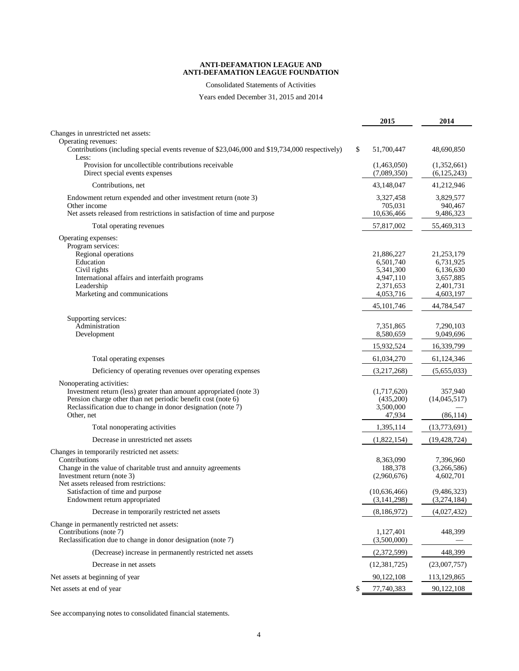Consolidated Statements of Activities

Years ended December 31, 2015 and 2014

|                                                                                                                                                                                                                                              | 2015                                                                        | 2014                                                                        |
|----------------------------------------------------------------------------------------------------------------------------------------------------------------------------------------------------------------------------------------------|-----------------------------------------------------------------------------|-----------------------------------------------------------------------------|
| Changes in unrestricted net assets:                                                                                                                                                                                                          |                                                                             |                                                                             |
| Operating revenues:<br>Contributions (including special events revenue of \$23,046,000 and \$19,734,000 respectively)<br>Less:                                                                                                               | \$<br>51,700,447                                                            | 48,690,850                                                                  |
| Provision for uncollectible contributions receivable<br>Direct special events expenses                                                                                                                                                       | (1,463,050)<br>(7,089,350)                                                  | (1,352,661)<br>(6, 125, 243)                                                |
| Contributions, net                                                                                                                                                                                                                           | 43,148,047                                                                  | 41,212,946                                                                  |
| Endowment return expended and other investment return (note 3)<br>Other income<br>Net assets released from restrictions in satisfaction of time and purpose                                                                                  | 3,327,458<br>705,031<br>10,636,466                                          | 3,829,577<br>940,467<br>9,486,323                                           |
| Total operating revenues                                                                                                                                                                                                                     | 57,817,002                                                                  | 55,469,313                                                                  |
| Operating expenses:<br>Program services:                                                                                                                                                                                                     |                                                                             |                                                                             |
| Regional operations<br>Education<br>Civil rights<br>International affairs and interfaith programs<br>Leadership<br>Marketing and communications                                                                                              | 21,886,227<br>6,501,740<br>5,341,300<br>4,947,110<br>2,371,653<br>4,053,716 | 21,253,179<br>6,731,925<br>6,136,630<br>3,657,885<br>2,401,731<br>4,603,197 |
|                                                                                                                                                                                                                                              | 45, 101, 746                                                                | 44,784,547                                                                  |
| Supporting services:<br>Administration<br>Development                                                                                                                                                                                        | 7,351,865<br>8,580,659                                                      | 7,290,103<br>9,049,696                                                      |
|                                                                                                                                                                                                                                              | 15,932,524                                                                  | 16,339,799                                                                  |
| Total operating expenses                                                                                                                                                                                                                     | 61,034,270                                                                  | 61,124,346                                                                  |
| Deficiency of operating revenues over operating expenses                                                                                                                                                                                     | (3,217,268)                                                                 | (5,655,033)                                                                 |
| Nonoperating activities:<br>Investment return (less) greater than amount appropriated (note 3)<br>Pension charge other than net periodic benefit cost (note 6)<br>Reclassification due to change in donor designation (note 7)<br>Other, net | (1,717,620)<br>(435,200)<br>3,500,000<br>47,934                             | 357,940<br>(14,045,517)<br>(86, 114)                                        |
| Total nonoperating activities                                                                                                                                                                                                                | 1,395,114                                                                   | (13,773,691)                                                                |
| Decrease in unrestricted net assets                                                                                                                                                                                                          | (1,822,154)                                                                 | (19, 428, 724)                                                              |
| Changes in temporarily restricted net assets:<br>Contributions<br>Change in the value of charitable trust and annuity agreements<br>Investment return (note 3)<br>Net assets released from restrictions:                                     | 8,363,090<br>188,378<br>(2,960,676)                                         | 7,396,960<br>(3,266,586)<br>4,602,701                                       |
| Satisfaction of time and purpose<br>Endowment return appropriated                                                                                                                                                                            | (10,636,466)<br>(3, 141, 298)                                               | (9,486,323)<br>(3,274,184)                                                  |
| Decrease in temporarily restricted net assets                                                                                                                                                                                                | (8,186,972)                                                                 | (4,027,432)                                                                 |
| Change in permanently restricted net assets:<br>Contributions (note 7)<br>Reclassification due to change in donor designation (note 7)                                                                                                       | 1,127,401<br>(3,500,000)                                                    | 448,399                                                                     |
| (Decrease) increase in permanently restricted net assets                                                                                                                                                                                     | (2,372,599)                                                                 | 448,399                                                                     |
| Decrease in net assets                                                                                                                                                                                                                       | (12, 381, 725)                                                              | (23,007,757)                                                                |
| Net assets at beginning of year                                                                                                                                                                                                              | 90,122,108                                                                  | 113,129,865                                                                 |
| Net assets at end of year                                                                                                                                                                                                                    | \$<br>77,740,383                                                            | 90,122,108                                                                  |

See accompanying notes to consolidated financial statements.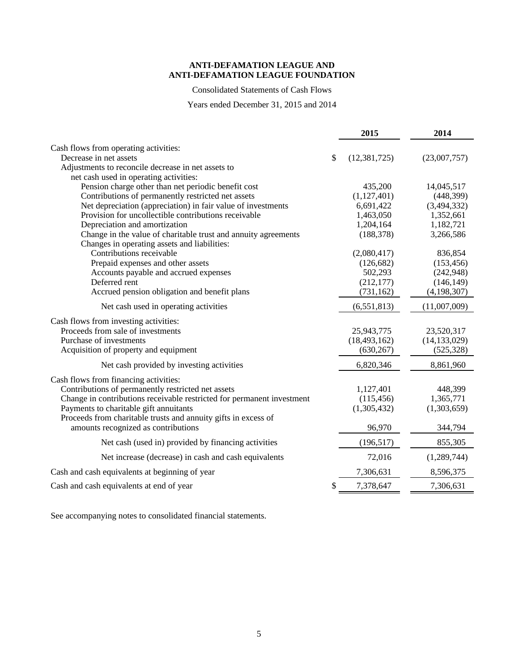#### Consolidated Statements of Cash Flows

Years ended December 31, 2015 and 2014

|                                                                                                                  | 2015                      | 2014                     |
|------------------------------------------------------------------------------------------------------------------|---------------------------|--------------------------|
| Cash flows from operating activities:                                                                            |                           |                          |
| \$<br>Decrease in net assets                                                                                     | (12, 381, 725)            | (23,007,757)             |
| Adjustments to reconcile decrease in net assets to                                                               |                           |                          |
| net cash used in operating activities:                                                                           |                           |                          |
| Pension charge other than net periodic benefit cost                                                              | 435,200                   | 14,045,517               |
| Contributions of permanently restricted net assets                                                               | (1, 127, 401)             | (448,399)                |
| Net depreciation (appreciation) in fair value of investments                                                     | 6,691,422                 | (3,494,332)              |
| Provision for uncollectible contributions receivable                                                             | 1,463,050                 | 1,352,661                |
| Depreciation and amortization                                                                                    | 1,204,164                 | 1,182,721                |
| Change in the value of charitable trust and annuity agreements                                                   | (188, 378)                | 3,266,586                |
| Changes in operating assets and liabilities:                                                                     |                           |                          |
| Contributions receivable                                                                                         | (2,080,417)               | 836,854                  |
| Prepaid expenses and other assets                                                                                | (126, 682)                | (153, 456)               |
| Accounts payable and accrued expenses                                                                            | 502,293                   | (242,948)                |
| Deferred rent                                                                                                    | (212, 177)                | (146, 149)               |
| Accrued pension obligation and benefit plans                                                                     | (731, 162)                | (4, 198, 307)            |
| Net cash used in operating activities                                                                            | (6, 551, 813)             | (11,007,009)             |
| Cash flows from investing activities:                                                                            |                           |                          |
| Proceeds from sale of investments                                                                                | 25,943,775                | 23,520,317               |
| Purchase of investments                                                                                          | (18, 493, 162)            | (14, 133, 029)           |
| Acquisition of property and equipment                                                                            | (630, 267)                | (525, 328)               |
| Net cash provided by investing activities                                                                        | 6,820,346                 | 8,861,960                |
|                                                                                                                  |                           |                          |
| Cash flows from financing activities:                                                                            |                           |                          |
| Contributions of permanently restricted net assets                                                               | 1,127,401                 | 448,399                  |
| Change in contributions receivable restricted for permanent investment<br>Payments to charitable gift annuitants | (115, 456)<br>(1,305,432) | 1,365,771<br>(1,303,659) |
| Proceeds from charitable trusts and annuity gifts in excess of                                                   |                           |                          |
| amounts recognized as contributions                                                                              | 96,970                    | 344,794                  |
| Net cash (used in) provided by financing activities                                                              | (196, 517)                | 855,305                  |
| Net increase (decrease) in cash and cash equivalents                                                             | 72,016                    | (1,289,744)              |
| Cash and cash equivalents at beginning of year                                                                   | 7,306,631                 | 8,596,375                |
| \$<br>Cash and cash equivalents at end of year                                                                   | 7,378,647                 | 7,306,631                |

See accompanying notes to consolidated financial statements.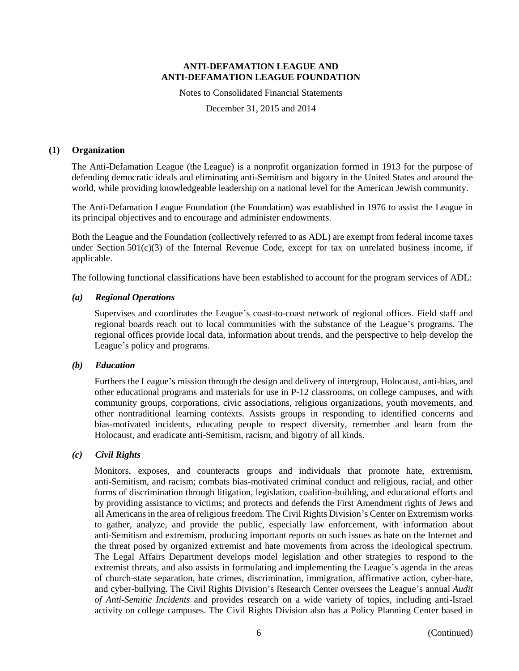Notes to Consolidated Financial Statements

December 31, 2015 and 2014

#### **(1) Organization**

The Anti-Defamation League (the League) is a nonprofit organization formed in 1913 for the purpose of defending democratic ideals and eliminating anti-Semitism and bigotry in the United States and around the world, while providing knowledgeable leadership on a national level for the American Jewish community.

The Anti-Defamation League Foundation (the Foundation) was established in 1976 to assist the League in its principal objectives and to encourage and administer endowments.

Both the League and the Foundation (collectively referred to as ADL) are exempt from federal income taxes under Section  $501(c)(3)$  of the Internal Revenue Code, except for tax on unrelated business income, if applicable.

The following functional classifications have been established to account for the program services of ADL:

## *(a) Regional Operations*

Supervises and coordinates the League's coast-to-coast network of regional offices. Field staff and regional boards reach out to local communities with the substance of the League's programs. The regional offices provide local data, information about trends, and the perspective to help develop the League's policy and programs.

## *(b) Education*

Furthers the League's mission through the design and delivery of intergroup, Holocaust, anti-bias, and other educational programs and materials for use in P-12 classrooms, on college campuses, and with community groups, corporations, civic associations, religious organizations, youth movements, and other nontraditional learning contexts. Assists groups in responding to identified concerns and bias-motivated incidents, educating people to respect diversity, remember and learn from the Holocaust, and eradicate anti-Semitism, racism, and bigotry of all kinds.

## *(c) Civil Rights*

Monitors, exposes, and counteracts groups and individuals that promote hate, extremism, anti-Semitism, and racism; combats bias-motivated criminal conduct and religious, racial, and other forms of discrimination through litigation, legislation, coalition-building, and educational efforts and by providing assistance to victims; and protects and defends the First Amendment rights of Jews and all Americans in the area of religious freedom. The Civil Rights Division's Center on Extremism works to gather, analyze, and provide the public, especially law enforcement, with information about anti-Semitism and extremism, producing important reports on such issues as hate on the Internet and the threat posed by organized extremist and hate movements from across the ideological spectrum. The Legal Affairs Department develops model legislation and other strategies to respond to the extremist threats, and also assists in formulating and implementing the League's agenda in the areas of church-state separation, hate crimes, discrimination, immigration, affirmative action, cyber-hate, and cyber-bullying. The Civil Rights Division's Research Center oversees the League's annual *Audit of Anti-Semitic Incidents* and provides research on a wide variety of topics, including anti-Israel activity on college campuses. The Civil Rights Division also has a Policy Planning Center based in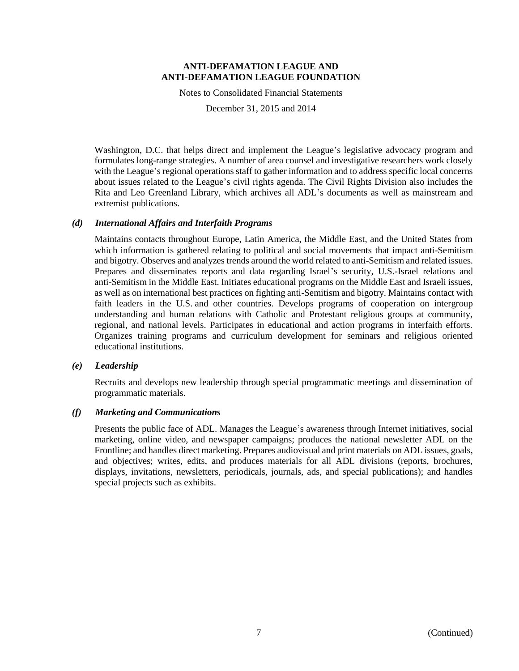Notes to Consolidated Financial Statements

December 31, 2015 and 2014

Washington, D.C. that helps direct and implement the League's legislative advocacy program and formulates long-range strategies. A number of area counsel and investigative researchers work closely with the League's regional operations staff to gather information and to address specific local concerns about issues related to the League's civil rights agenda. The Civil Rights Division also includes the Rita and Leo Greenland Library, which archives all ADL's documents as well as mainstream and extremist publications.

## *(d) International Affairs and Interfaith Programs*

Maintains contacts throughout Europe, Latin America, the Middle East, and the United States from which information is gathered relating to political and social movements that impact anti-Semitism and bigotry. Observes and analyzes trends around the world related to anti-Semitism and related issues. Prepares and disseminates reports and data regarding Israel's security, U.S.-Israel relations and anti-Semitism in the Middle East. Initiates educational programs on the Middle East and Israeli issues, as well as on international best practices on fighting anti-Semitism and bigotry. Maintains contact with faith leaders in the U.S. and other countries. Develops programs of cooperation on intergroup understanding and human relations with Catholic and Protestant religious groups at community, regional, and national levels. Participates in educational and action programs in interfaith efforts. Organizes training programs and curriculum development for seminars and religious oriented educational institutions.

## *(e) Leadership*

Recruits and develops new leadership through special programmatic meetings and dissemination of programmatic materials.

## *(f) Marketing and Communications*

Presents the public face of ADL. Manages the League's awareness through Internet initiatives, social marketing, online video, and newspaper campaigns; produces the national newsletter ADL on the Frontline; and handles direct marketing. Prepares audiovisual and print materials on ADL issues, goals, and objectives; writes, edits, and produces materials for all ADL divisions (reports, brochures, displays, invitations, newsletters, periodicals, journals, ads, and special publications); and handles special projects such as exhibits.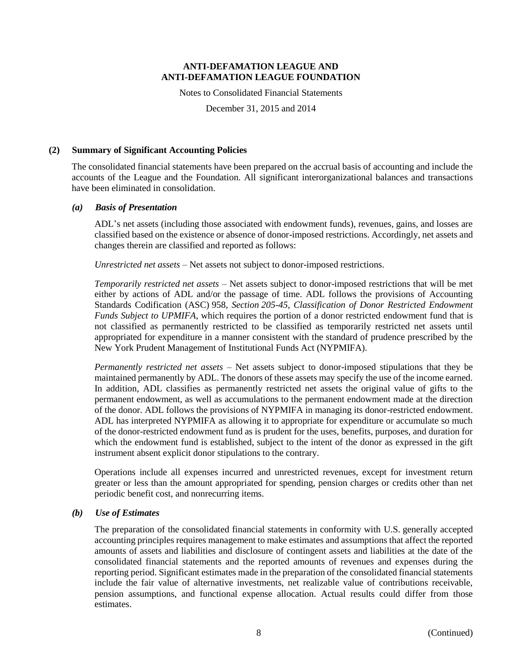Notes to Consolidated Financial Statements

December 31, 2015 and 2014

#### **(2) Summary of Significant Accounting Policies**

The consolidated financial statements have been prepared on the accrual basis of accounting and include the accounts of the League and the Foundation. All significant interorganizational balances and transactions have been eliminated in consolidation.

## *(a) Basis of Presentation*

ADL's net assets (including those associated with endowment funds), revenues, gains, and losses are classified based on the existence or absence of donor-imposed restrictions. Accordingly, net assets and changes therein are classified and reported as follows:

*Unrestricted net assets* – Net assets not subject to donor-imposed restrictions.

*Temporarily restricted net assets* – Net assets subject to donor-imposed restrictions that will be met either by actions of ADL and/or the passage of time. ADL follows the provisions of Accounting Standards Codification (ASC) 958, *Section 205-45*, *Classification of Donor Restricted Endowment Funds Subject to UPMIFA*, which requires the portion of a donor restricted endowment fund that is not classified as permanently restricted to be classified as temporarily restricted net assets until appropriated for expenditure in a manner consistent with the standard of prudence prescribed by the New York Prudent Management of Institutional Funds Act (NYPMIFA).

*Permanently restricted net assets* – Net assets subject to donor-imposed stipulations that they be maintained permanently by ADL. The donors of these assets may specify the use of the income earned. In addition, ADL classifies as permanently restricted net assets the original value of gifts to the permanent endowment, as well as accumulations to the permanent endowment made at the direction of the donor. ADL follows the provisions of NYPMIFA in managing its donor-restricted endowment. ADL has interpreted NYPMIFA as allowing it to appropriate for expenditure or accumulate so much of the donor-restricted endowment fund as is prudent for the uses, benefits, purposes, and duration for which the endowment fund is established, subject to the intent of the donor as expressed in the gift instrument absent explicit donor stipulations to the contrary.

Operations include all expenses incurred and unrestricted revenues, except for investment return greater or less than the amount appropriated for spending, pension charges or credits other than net periodic benefit cost, and nonrecurring items.

## *(b) Use of Estimates*

The preparation of the consolidated financial statements in conformity with U.S. generally accepted accounting principles requires management to make estimates and assumptions that affect the reported amounts of assets and liabilities and disclosure of contingent assets and liabilities at the date of the consolidated financial statements and the reported amounts of revenues and expenses during the reporting period. Significant estimates made in the preparation of the consolidated financial statements include the fair value of alternative investments, net realizable value of contributions receivable, pension assumptions, and functional expense allocation. Actual results could differ from those estimates.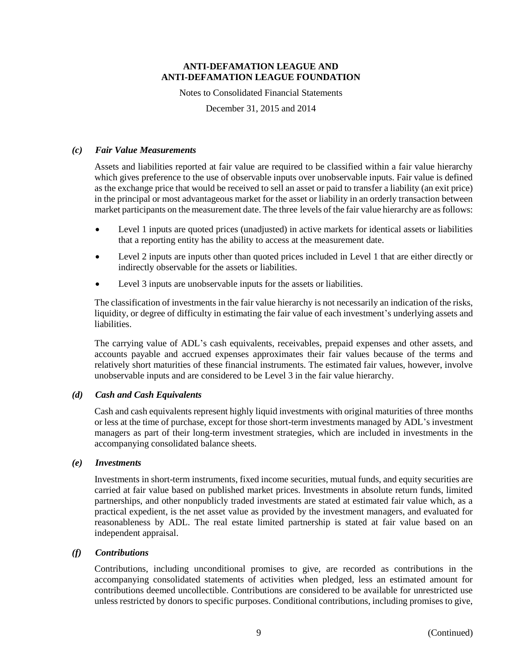Notes to Consolidated Financial Statements

December 31, 2015 and 2014

#### *(c) Fair Value Measurements*

Assets and liabilities reported at fair value are required to be classified within a fair value hierarchy which gives preference to the use of observable inputs over unobservable inputs. Fair value is defined as the exchange price that would be received to sell an asset or paid to transfer a liability (an exit price) in the principal or most advantageous market for the asset or liability in an orderly transaction between market participants on the measurement date. The three levels of the fair value hierarchy are as follows:

- Level 1 inputs are quoted prices (unadjusted) in active markets for identical assets or liabilities that a reporting entity has the ability to access at the measurement date.
- Level 2 inputs are inputs other than quoted prices included in Level 1 that are either directly or indirectly observable for the assets or liabilities.
- Level 3 inputs are unobservable inputs for the assets or liabilities.

The classification of investments in the fair value hierarchy is not necessarily an indication of the risks, liquidity, or degree of difficulty in estimating the fair value of each investment's underlying assets and liabilities.

The carrying value of ADL's cash equivalents, receivables, prepaid expenses and other assets, and accounts payable and accrued expenses approximates their fair values because of the terms and relatively short maturities of these financial instruments. The estimated fair values, however, involve unobservable inputs and are considered to be Level 3 in the fair value hierarchy.

## *(d) Cash and Cash Equivalents*

Cash and cash equivalents represent highly liquid investments with original maturities of three months or less at the time of purchase, except for those short-term investments managed by ADL's investment managers as part of their long-term investment strategies, which are included in investments in the accompanying consolidated balance sheets.

#### *(e) Investments*

Investments in short-term instruments, fixed income securities, mutual funds, and equity securities are carried at fair value based on published market prices. Investments in absolute return funds, limited partnerships, and other nonpublicly traded investments are stated at estimated fair value which, as a practical expedient, is the net asset value as provided by the investment managers, and evaluated for reasonableness by ADL. The real estate limited partnership is stated at fair value based on an independent appraisal.

## *(f) Contributions*

Contributions, including unconditional promises to give, are recorded as contributions in the accompanying consolidated statements of activities when pledged, less an estimated amount for contributions deemed uncollectible. Contributions are considered to be available for unrestricted use unless restricted by donors to specific purposes. Conditional contributions, including promises to give,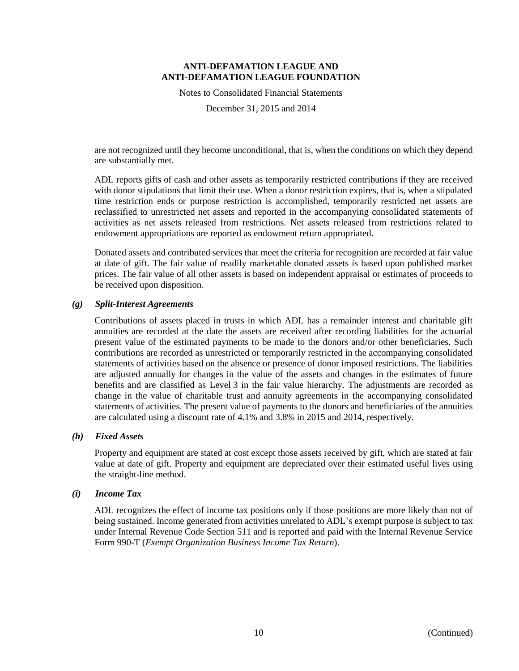Notes to Consolidated Financial Statements

December 31, 2015 and 2014

are not recognized until they become unconditional, that is, when the conditions on which they depend are substantially met.

ADL reports gifts of cash and other assets as temporarily restricted contributions if they are received with donor stipulations that limit their use. When a donor restriction expires, that is, when a stipulated time restriction ends or purpose restriction is accomplished, temporarily restricted net assets are reclassified to unrestricted net assets and reported in the accompanying consolidated statements of activities as net assets released from restrictions. Net assets released from restrictions related to endowment appropriations are reported as endowment return appropriated.

Donated assets and contributed services that meet the criteria for recognition are recorded at fair value at date of gift. The fair value of readily marketable donated assets is based upon published market prices. The fair value of all other assets is based on independent appraisal or estimates of proceeds to be received upon disposition.

## *(g) Split-Interest Agreements*

Contributions of assets placed in trusts in which ADL has a remainder interest and charitable gift annuities are recorded at the date the assets are received after recording liabilities for the actuarial present value of the estimated payments to be made to the donors and/or other beneficiaries. Such contributions are recorded as unrestricted or temporarily restricted in the accompanying consolidated statements of activities based on the absence or presence of donor imposed restrictions. The liabilities are adjusted annually for changes in the value of the assets and changes in the estimates of future benefits and are classified as Level 3 in the fair value hierarchy. The adjustments are recorded as change in the value of charitable trust and annuity agreements in the accompanying consolidated statements of activities. The present value of payments to the donors and beneficiaries of the annuities are calculated using a discount rate of 4.1% and 3.8% in 2015 and 2014, respectively.

#### *(h) Fixed Assets*

Property and equipment are stated at cost except those assets received by gift, which are stated at fair value at date of gift. Property and equipment are depreciated over their estimated useful lives using the straight-line method.

#### *(i) Income Tax*

ADL recognizes the effect of income tax positions only if those positions are more likely than not of being sustained. Income generated from activities unrelated to ADL's exempt purpose is subject to tax under Internal Revenue Code Section 511 and is reported and paid with the Internal Revenue Service Form 990-T (*Exempt Organization Business Income Tax Return*).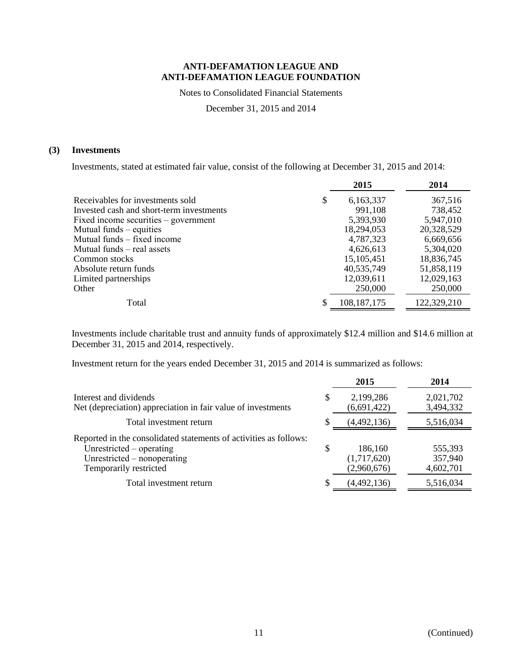Notes to Consolidated Financial Statements

December 31, 2015 and 2014

#### **(3) Investments**

Investments, stated at estimated fair value, consist of the following at December 31, 2015 and 2014:

|                                          | 2015            | 2014        |
|------------------------------------------|-----------------|-------------|
| Receivables for investments sold         | \$<br>6,163,337 | 367,516     |
| Invested cash and short-term investments | 991,108         | 738,452     |
| Fixed income securities – government     | 5,393,930       | 5,947,010   |
| Mutual funds – equities                  | 18,294,053      | 20,328,529  |
| Mutual funds – fixed income              | 4,787,323       | 6,669,656   |
| Mutual funds – real assets               | 4,626,613       | 5,304,020   |
| Common stocks                            | 15, 105, 451    | 18,836,745  |
| Absolute return funds                    | 40,535,749      | 51,858,119  |
| Limited partnerships                     | 12,039,611      | 12,029,163  |
| Other                                    | 250,000         | 250,000     |
| Total                                    | 108, 187, 175   | 122,329,210 |

Investments include charitable trust and annuity funds of approximately \$12.4 million and \$14.6 million at December 31, 2015 and 2014, respectively.

Investment return for the years ended December 31, 2015 and 2014 is summarized as follows:

|                                                                                                                                                        |    | 2015                                  | 2014                            |
|--------------------------------------------------------------------------------------------------------------------------------------------------------|----|---------------------------------------|---------------------------------|
| Interest and dividends<br>Net (depreciation) appreciation in fair value of investments                                                                 | S  | 2,199,286<br>(6, 691, 422)            | 2,021,702<br>3,494,332          |
| Total investment return                                                                                                                                |    | (4, 492, 136)                         | 5,516,034                       |
| Reported in the consolidated statements of activities as follows:<br>Unrestricted – operating<br>Unrestricted – nonoperating<br>Temporarily restricted | \$ | 186,160<br>(1,717,620)<br>(2,960,676) | 555,393<br>357,940<br>4,602,701 |
| Total investment return                                                                                                                                |    | (4, 492, 136)                         | 5,516,034                       |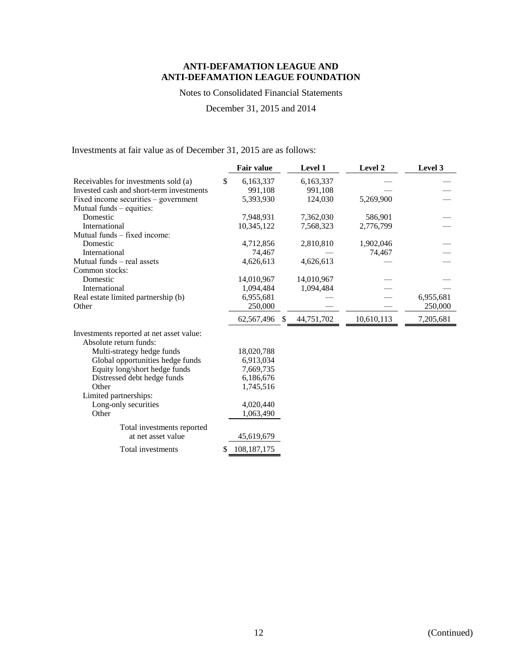Notes to Consolidated Financial Statements

December 31, 2015 and 2014

Investments at fair value as of December 31, 2015 are as follows:

|                                          | <b>Fair value</b> | <b>Level 1</b> | Level 2    | Level 3   |
|------------------------------------------|-------------------|----------------|------------|-----------|
| Receivables for investments sold (a)     | \$<br>6,163,337   | 6,163,337      |            |           |
| Invested cash and short-term investments | 991,108           | 991,108        |            |           |
| Fixed income securities - government     | 5,393,930         | 124,030        | 5,269,900  |           |
| Mutual funds – equities:                 |                   |                |            |           |
| Domestic                                 | 7,948,931         | 7,362,030      | 586,901    |           |
| International                            | 10,345,122        | 7,568,323      | 2,776,799  |           |
| Mutual funds – fixed income:             |                   |                |            |           |
| Domestic                                 | 4,712,856         | 2,810,810      | 1,902,046  |           |
| International                            | 74,467            |                | 74,467     |           |
| Mutual funds - real assets               | 4,626,613         | 4,626,613      |            |           |
| Common stocks:                           |                   |                |            |           |
| Domestic                                 | 14,010,967        | 14,010,967     |            |           |
| International                            | 1,094,484         | 1,094,484      |            |           |
| Real estate limited partnership (b)      | 6,955,681         |                |            | 6,955,681 |
| Other                                    | 250,000           |                |            | 250,000   |
|                                          | 62,567,496 \$     | 44,751,702     | 10,610,113 | 7,205,681 |
| Investments reported at net asset value: |                   |                |            |           |
| Absolute return funds:                   |                   |                |            |           |
| Multi-strategy hedge funds               | 18,020,788        |                |            |           |
| Global opportunities hedge funds         | 6,913,034         |                |            |           |
| Equity long/short hedge funds            | 7,669,735         |                |            |           |
| Distressed debt hedge funds              | 6,186,676         |                |            |           |
| Other                                    | 1,745,516         |                |            |           |
| Limited partnerships:                    |                   |                |            |           |
| Long-only securities                     | 4,020,440         |                |            |           |
| Other                                    | 1,063,490         |                |            |           |
| Total investments reported               |                   |                |            |           |
| at net asset value                       | 45,619,679        |                |            |           |
| Total investments                        | 108, 187, 175     |                |            |           |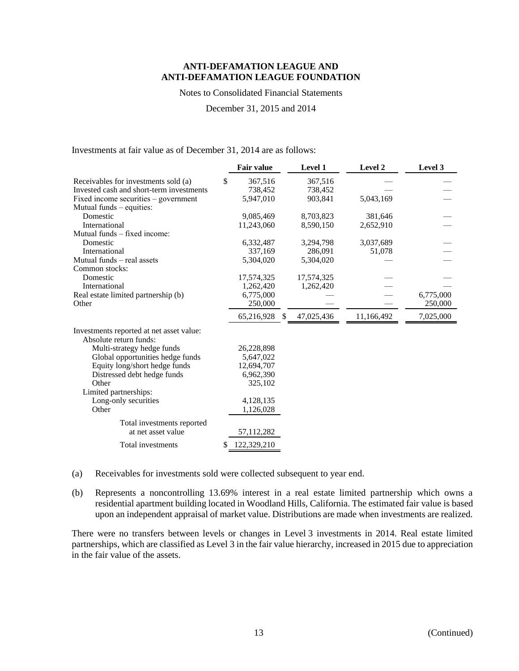Notes to Consolidated Financial Statements

December 31, 2015 and 2014

Investments at fair value as of December 31, 2014 are as follows:

|                                          | <b>Fair value</b> |               | <b>Level 1</b> | Level 2    | Level 3   |
|------------------------------------------|-------------------|---------------|----------------|------------|-----------|
| Receivables for investments sold (a)     | \$<br>367,516     |               | 367,516        |            |           |
| Invested cash and short-term investments | 738,452           |               | 738,452        |            |           |
| Fixed income securities – government     | 5,947,010         |               | 903.841        | 5,043,169  |           |
| Mutual funds – equities:                 |                   |               |                |            |           |
| Domestic                                 | 9,085,469         |               | 8,703,823      | 381,646    |           |
| International                            | 11,243,060        |               | 8,590,150      | 2,652,910  |           |
| Mutual funds - fixed income:             |                   |               |                |            |           |
| Domestic                                 | 6,332,487         |               | 3,294,798      | 3,037,689  |           |
| International                            | 337,169           |               | 286,091        | 51,078     |           |
| Mutual funds – real assets               | 5,304,020         |               | 5,304,020      |            |           |
| Common stocks:                           |                   |               |                |            |           |
| Domestic                                 | 17,574,325        |               | 17,574,325     |            |           |
| International                            | 1,262,420         |               | 1,262,420      |            |           |
| Real estate limited partnership (b)      | 6,775,000         |               |                |            | 6,775,000 |
| Other                                    | 250,000           |               |                |            | 250,000   |
|                                          | 65,216,928        | <sup>\$</sup> | 47,025,436     | 11,166,492 | 7,025,000 |
| Investments reported at net asset value: |                   |               |                |            |           |
| Absolute return funds:                   |                   |               |                |            |           |
| Multi-strategy hedge funds               | 26,228,898        |               |                |            |           |
| Global opportunities hedge funds         | 5,647,022         |               |                |            |           |
| Equity long/short hedge funds            | 12,694,707        |               |                |            |           |
| Distressed debt hedge funds              | 6,962,390         |               |                |            |           |
| Other                                    | 325,102           |               |                |            |           |
| Limited partnerships:                    |                   |               |                |            |           |
| Long-only securities                     | 4,128,135         |               |                |            |           |
| Other                                    | 1,126,028         |               |                |            |           |
| Total investments reported               |                   |               |                |            |           |
| at net asset value                       | 57,112,282        |               |                |            |           |
| Total investments                        | 122,329,210       |               |                |            |           |

- (a) Receivables for investments sold were collected subsequent to year end.
- (b) Represents a noncontrolling 13.69% interest in a real estate limited partnership which owns a residential apartment building located in Woodland Hills, California. The estimated fair value is based upon an independent appraisal of market value. Distributions are made when investments are realized.

There were no transfers between levels or changes in Level 3 investments in 2014. Real estate limited partnerships, which are classified as Level 3 in the fair value hierarchy, increased in 2015 due to appreciation in the fair value of the assets.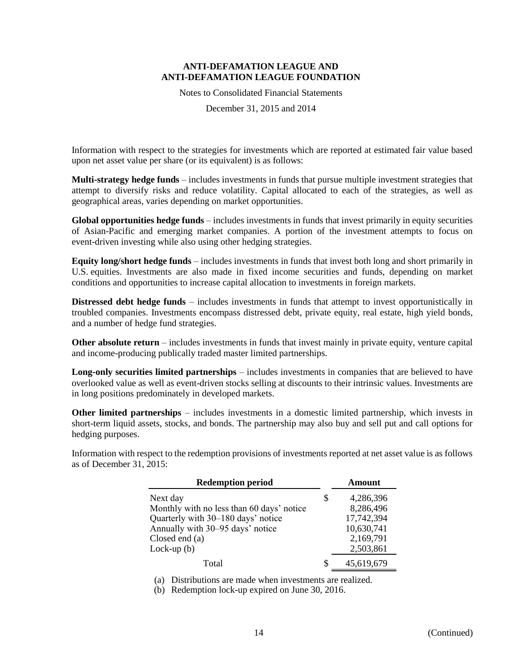Notes to Consolidated Financial Statements

December 31, 2015 and 2014

Information with respect to the strategies for investments which are reported at estimated fair value based upon net asset value per share (or its equivalent) is as follows:

**Multi-strategy hedge funds** – includes investments in funds that pursue multiple investment strategies that attempt to diversify risks and reduce volatility. Capital allocated to each of the strategies, as well as geographical areas, varies depending on market opportunities.

**Global opportunities hedge funds** – includes investments in funds that invest primarily in equity securities of Asian-Pacific and emerging market companies. A portion of the investment attempts to focus on event-driven investing while also using other hedging strategies.

**Equity long/short hedge funds** – includes investments in funds that invest both long and short primarily in U.S. equities. Investments are also made in fixed income securities and funds, depending on market conditions and opportunities to increase capital allocation to investments in foreign markets.

**Distressed debt hedge funds** – includes investments in funds that attempt to invest opportunistically in troubled companies. Investments encompass distressed debt, private equity, real estate, high yield bonds, and a number of hedge fund strategies.

**Other absolute return** – includes investments in funds that invest mainly in private equity, venture capital and income-producing publically traded master limited partnerships.

**Long-only securities limited partnerships** – includes investments in companies that are believed to have overlooked value as well as event-driven stocks selling at discounts to their intrinsic values. Investments are in long positions predominately in developed markets.

**Other limited partnerships** – includes investments in a domestic limited partnership, which invests in short-term liquid assets, stocks, and bonds. The partnership may also buy and sell put and call options for hedging purposes.

Information with respect to the redemption provisions of investments reported at net asset value is as follows as of December 31, 2015:

| <b>Redemption period</b>                  |   | Amount     |
|-------------------------------------------|---|------------|
| Next day                                  | S | 4,286,396  |
| Monthly with no less than 60 days' notice |   | 8,286,496  |
| Quarterly with 30-180 days' notice        |   | 17,742,394 |
| Annually with 30–95 days' notice          |   | 10,630,741 |
| Closed end $(a)$                          |   | 2,169,791  |
| Lock-up $(b)$                             |   | 2,503,861  |
| Total                                     |   | 45,619,679 |

(a) Distributions are made when investments are realized.

(b) Redemption lock-up expired on June 30, 2016.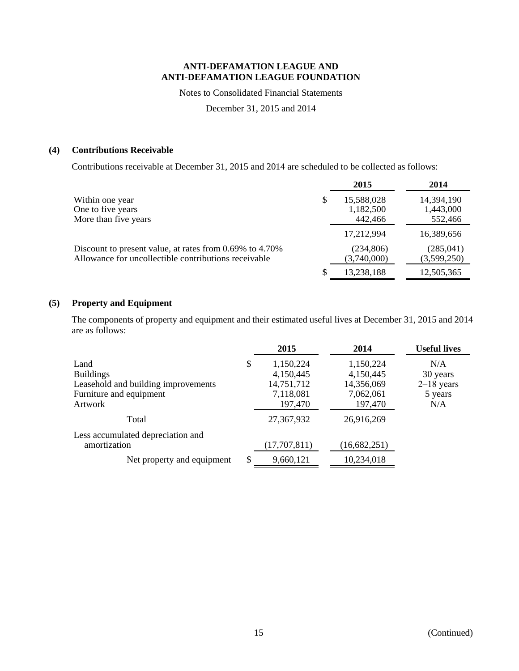Notes to Consolidated Financial Statements

December 31, 2015 and 2014

## **(4) Contributions Receivable**

Contributions receivable at December 31, 2015 and 2014 are scheduled to be collected as follows:

|                                                         | 2015             | 2014        |
|---------------------------------------------------------|------------------|-------------|
| Within one year                                         | \$<br>15,588,028 | 14,394,190  |
| One to five years                                       | 1,182,500        | 1,443,000   |
| More than five years                                    | 442,466          | 552,466     |
|                                                         | 17,212,994       | 16,389,656  |
| Discount to present value, at rates from 0.69% to 4.70% | (234, 806)       | (285,041)   |
| Allowance for uncollectible contributions receivable    | (3,740,000)      | (3,599,250) |
|                                                         | 13,238,188       | 12,505,365  |

## **(5) Property and Equipment**

The components of property and equipment and their estimated useful lives at December 31, 2015 and 2014 are as follows:

|                                                                                                       |    | 2015                                                         | 2014                                                         | <b>Useful lives</b>                               |
|-------------------------------------------------------------------------------------------------------|----|--------------------------------------------------------------|--------------------------------------------------------------|---------------------------------------------------|
| Land<br><b>Buildings</b><br>Leasehold and building improvements<br>Furniture and equipment<br>Artwork | \$ | 1,150,224<br>4,150,445<br>14,751,712<br>7,118,081<br>197,470 | 1,150,224<br>4,150,445<br>14,356,069<br>7,062,061<br>197,470 | N/A<br>30 years<br>$2-18$ years<br>5 years<br>N/A |
| Total                                                                                                 |    | 27,367,932                                                   | 26,916,269                                                   |                                                   |
| Less accumulated depreciation and<br>amortization                                                     |    | (17,707,811)                                                 | (16, 682, 251)                                               |                                                   |
| Net property and equipment                                                                            | S  | 9,660,121                                                    | 10,234,018                                                   |                                                   |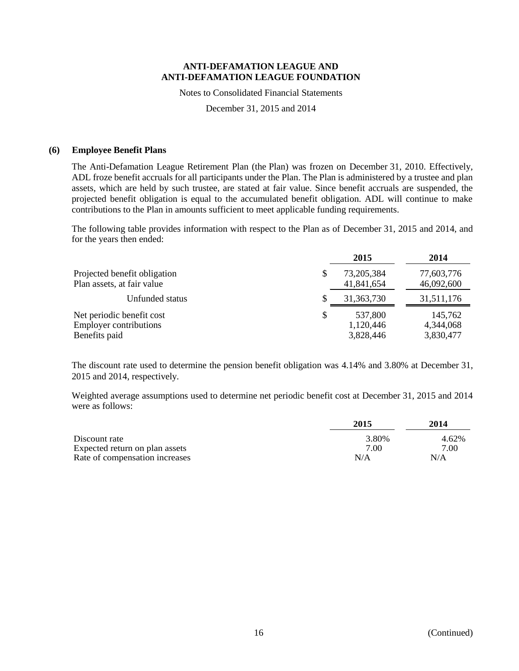Notes to Consolidated Financial Statements

December 31, 2015 and 2014

## **(6) Employee Benefit Plans**

The Anti-Defamation League Retirement Plan (the Plan) was frozen on December 31, 2010. Effectively, ADL froze benefit accruals for all participants under the Plan. The Plan is administered by a trustee and plan assets, which are held by such trustee, are stated at fair value. Since benefit accruals are suspended, the projected benefit obligation is equal to the accumulated benefit obligation. ADL will continue to make contributions to the Plan in amounts sufficient to meet applicable funding requirements.

The following table provides information with respect to the Plan as of December 31, 2015 and 2014, and for the years then ended:

|                               | 2015          | 2014       |
|-------------------------------|---------------|------------|
| Projected benefit obligation  | 73,205,384    | 77,603,776 |
| Plan assets, at fair value    | 41,841,654    | 46,092,600 |
| Unfunded status               | 31, 363, 730  | 31,511,176 |
| Net periodic benefit cost     | \$<br>537,800 | 145,762    |
| <b>Employer contributions</b> | 1,120,446     | 4,344,068  |
| Benefits paid                 | 3,828,446     | 3,830,477  |

The discount rate used to determine the pension benefit obligation was 4.14% and 3.80% at December 31, 2015 and 2014, respectively.

Weighted average assumptions used to determine net periodic benefit cost at December 31, 2015 and 2014 were as follows:

|                                | 2015  | 2014  |
|--------------------------------|-------|-------|
| Discount rate                  | 3.80% | 4.62% |
| Expected return on plan assets | 7.00  | 7.00  |
| Rate of compensation increases | N/A   | N/A   |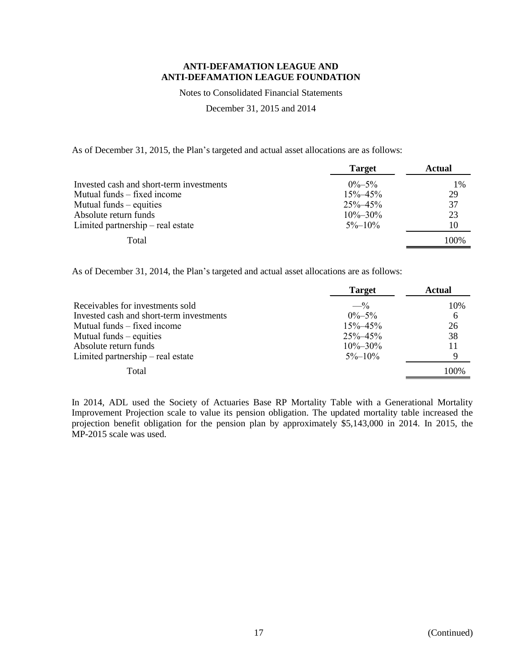Notes to Consolidated Financial Statements

December 31, 2015 and 2014

As of December 31, 2015, the Plan's targeted and actual asset allocations are as follows:

|                                          | <b>Target</b> | Actual |
|------------------------------------------|---------------|--------|
| Invested cash and short-term investments | $0\% - 5\%$   | $1\%$  |
| Mutual funds – fixed income              | $15\% - 45\%$ | 29     |
| Mutual funds $-$ equities                | $25\% - 45\%$ | 37     |
| Absolute return funds                    | $10\% - 30\%$ | 23     |
| Limited partnership – real estate        | $5\% - 10\%$  | 10     |
| Total                                    |               | 100%   |

As of December 31, 2014, the Plan's targeted and actual asset allocations are as follows:

|                                          | <b>Target</b> | <b>Actual</b> |
|------------------------------------------|---------------|---------------|
| Receivables for investments sold         | $-$ %         | 10%           |
| Invested cash and short-term investments | $0\% - 5\%$   | 6             |
| Mutual funds – fixed income              | $15\% - 45\%$ | 26            |
| Mutual funds $-$ equities                | $25\% - 45\%$ | 38            |
| Absolute return funds                    | $10\% - 30\%$ | 11            |
| Limited partnership – real estate        | $5\% - 10\%$  | 9             |
| Total                                    |               | 100%          |

In 2014, ADL used the Society of Actuaries Base RP Mortality Table with a Generational Mortality Improvement Projection scale to value its pension obligation. The updated mortality table increased the projection benefit obligation for the pension plan by approximately \$5,143,000 in 2014. In 2015, the MP-2015 scale was used.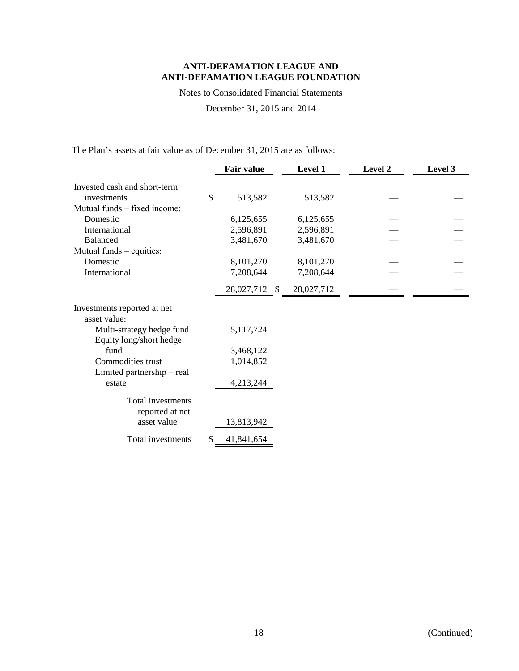Notes to Consolidated Financial Statements

December 31, 2015 and 2014

The Plan's assets at fair value as of December 31, 2015 are as follows:

|                                                      | <b>Fair value</b> |               | Level 1    | Level 2 | Level 3 |
|------------------------------------------------------|-------------------|---------------|------------|---------|---------|
| Invested cash and short-term                         |                   |               |            |         |         |
| investments                                          | \$<br>513,582     |               | 513,582    |         |         |
| Mutual funds – fixed income:                         |                   |               |            |         |         |
| Domestic                                             | 6,125,655         |               | 6,125,655  |         |         |
| International                                        | 2,596,891         |               | 2,596,891  |         |         |
| <b>Balanced</b>                                      | 3,481,670         |               | 3,481,670  |         |         |
| Mutual funds – equities:                             |                   |               |            |         |         |
| Domestic                                             | 8,101,270         |               | 8,101,270  |         |         |
| International                                        | 7,208,644         |               | 7,208,644  |         |         |
|                                                      | 28,027,712        | $\mathcal{S}$ | 28,027,712 |         |         |
| Investments reported at net<br>asset value:          |                   |               |            |         |         |
| Multi-strategy hedge fund<br>Equity long/short hedge | 5,117,724         |               |            |         |         |
| fund                                                 | 3,468,122         |               |            |         |         |
| Commodities trust                                    | 1,014,852         |               |            |         |         |
| Limited partnership – real                           |                   |               |            |         |         |
| estate                                               | 4,213,244         |               |            |         |         |
| Total investments<br>reported at net                 |                   |               |            |         |         |
| asset value                                          | 13,813,942        |               |            |         |         |
| Total investments                                    | \$<br>41,841,654  |               |            |         |         |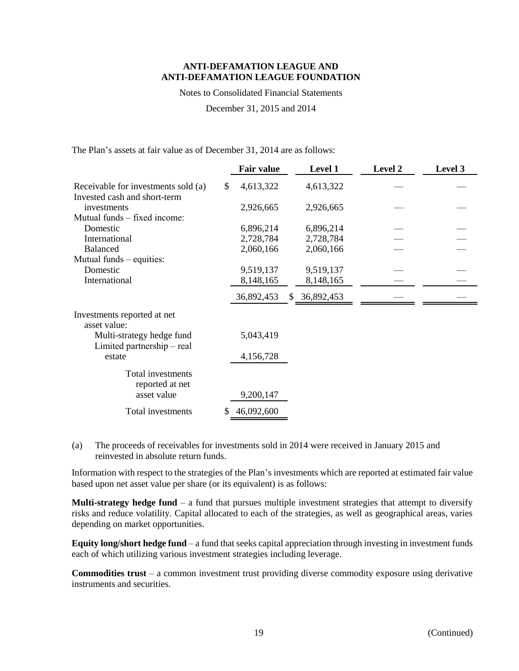Notes to Consolidated Financial Statements

December 31, 2015 and 2014

The Plan's assets at fair value as of December 31, 2014 are as follows:

|                                                                     | <b>Fair value</b> | Level 1       | Level 2 | Level 3 |
|---------------------------------------------------------------------|-------------------|---------------|---------|---------|
| Receivable for investments sold (a)<br>Invested cash and short-term | \$<br>4,613,322   | 4,613,322     |         |         |
| investments<br>Mutual funds – fixed income:                         | 2,926,665         | 2,926,665     |         |         |
| Domestic                                                            | 6,896,214         | 6,896,214     |         |         |
| International                                                       | 2,728,784         | 2,728,784     |         |         |
| <b>Balanced</b>                                                     | 2,060,166         | 2,060,166     |         |         |
| Mutual funds – equities:                                            |                   |               |         |         |
| Domestic                                                            | 9,519,137         | 9,519,137     |         |         |
| International                                                       | 8,148,165         | 8,148,165     |         |         |
|                                                                     | 36,892,453        | \$ 36,892,453 |         |         |
| Investments reported at net<br>asset value:                         |                   |               |         |         |
| Multi-strategy hedge fund<br>Limited partnership – real             | 5,043,419         |               |         |         |
| estate                                                              | 4,156,728         |               |         |         |
| Total investments<br>reported at net                                |                   |               |         |         |
| asset value                                                         | 9,200,147         |               |         |         |
| Total investments                                                   | \$<br>46,092,600  |               |         |         |

(a) The proceeds of receivables for investments sold in 2014 were received in January 2015 and reinvested in absolute return funds.

Information with respect to the strategies of the Plan's investments which are reported at estimated fair value based upon net asset value per share (or its equivalent) is as follows:

**Multi-strategy hedge fund** – a fund that pursues multiple investment strategies that attempt to diversify risks and reduce volatility. Capital allocated to each of the strategies, as well as geographical areas, varies depending on market opportunities.

**Equity long/short hedge fund** – a fund that seeks capital appreciation through investing in investment funds each of which utilizing various investment strategies including leverage.

**Commodities trust** – a common investment trust providing diverse commodity exposure using derivative instruments and securities.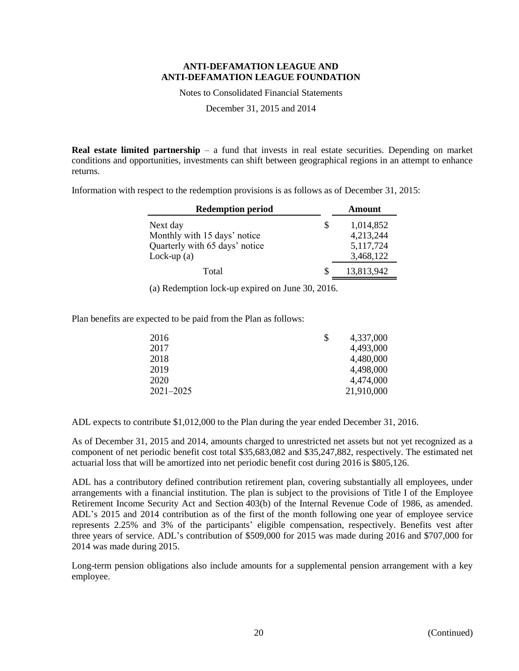Notes to Consolidated Financial Statements

December 31, 2015 and 2014

**Real estate limited partnership** – a fund that invests in real estate securities. Depending on market conditions and opportunities, investments can shift between geographical regions in an attempt to enhance returns.

Information with respect to the redemption provisions is as follows as of December 31, 2015:

| <b>Redemption period</b>       |   | Amount     |
|--------------------------------|---|------------|
| Next day                       | S | 1,014,852  |
| Monthly with 15 days' notice   |   | 4,213,244  |
| Quarterly with 65 days' notice |   | 5,117,724  |
| Lock-up $(a)$                  |   | 3,468,122  |
| Total                          |   | 13,813,942 |

(a) Redemption lock-up expired on June 30, 2016.

Plan benefits are expected to be paid from the Plan as follows:

| 2016      | 4,337,000  |
|-----------|------------|
| 2017      | 4,493,000  |
| 2018      | 4,480,000  |
| 2019      | 4,498,000  |
| 2020      | 4,474,000  |
| 2021-2025 | 21,910,000 |

ADL expects to contribute \$1,012,000 to the Plan during the year ended December 31, 2016.

As of December 31, 2015 and 2014, amounts charged to unrestricted net assets but not yet recognized as a component of net periodic benefit cost total \$35,683,082 and \$35,247,882, respectively. The estimated net actuarial loss that will be amortized into net periodic benefit cost during 2016 is \$805,126.

ADL has a contributory defined contribution retirement plan, covering substantially all employees, under arrangements with a financial institution. The plan is subject to the provisions of Title I of the Employee Retirement Income Security Act and Section 403(b) of the Internal Revenue Code of 1986, as amended. ADL's 2015 and 2014 contribution as of the first of the month following one year of employee service represents 2.25% and 3% of the participants' eligible compensation, respectively. Benefits vest after three years of service. ADL's contribution of \$509,000 for 2015 was made during 2016 and \$707,000 for 2014 was made during 2015.

Long-term pension obligations also include amounts for a supplemental pension arrangement with a key employee.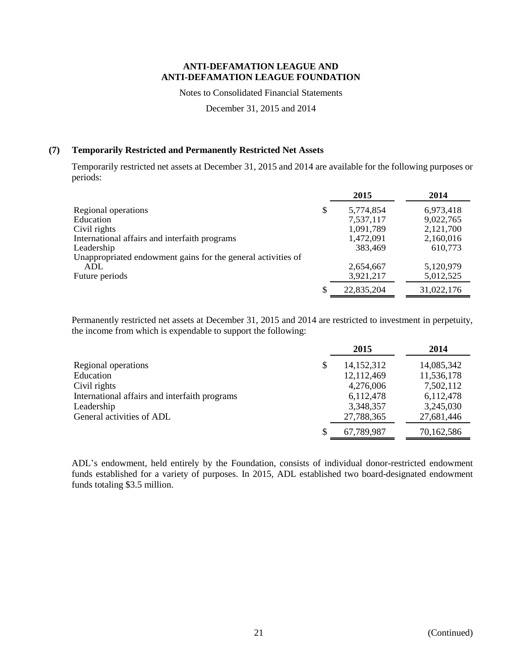Notes to Consolidated Financial Statements

December 31, 2015 and 2014

## **(7) Temporarily Restricted and Permanently Restricted Net Assets**

Temporarily restricted net assets at December 31, 2015 and 2014 are available for the following purposes or periods:

|                                                              |   | 2015       | 2014       |
|--------------------------------------------------------------|---|------------|------------|
| Regional operations                                          | S | 5,774,854  | 6,973,418  |
| Education                                                    |   | 7,537,117  | 9,022,765  |
| Civil rights                                                 |   | 1,091,789  | 2,121,700  |
| International affairs and interfaith programs                |   | 1,472,091  | 2,160,016  |
| Leadership                                                   |   | 383.469    | 610,773    |
| Unappropriated endowment gains for the general activities of |   |            |            |
| ADL                                                          |   | 2,654,667  | 5,120,979  |
| Future periods                                               |   | 3,921,217  | 5,012,525  |
|                                                              |   | 22,835,204 | 31,022,176 |

Permanently restricted net assets at December 31, 2015 and 2014 are restricted to investment in perpetuity, the income from which is expendable to support the following:

|                                               | 2015       | 2014       |
|-----------------------------------------------|------------|------------|
| Regional operations                           | 14,152,312 | 14,085,342 |
| Education                                     | 12,112,469 | 11,536,178 |
| Civil rights                                  | 4,276,006  | 7,502,112  |
| International affairs and interfaith programs | 6,112,478  | 6,112,478  |
| Leadership                                    | 3,348,357  | 3,245,030  |
| General activities of ADL                     | 27,788,365 | 27,681,446 |
|                                               | 67,789,987 | 70,162,586 |

ADL's endowment, held entirely by the Foundation, consists of individual donor-restricted endowment funds established for a variety of purposes. In 2015, ADL established two board-designated endowment funds totaling \$3.5 million.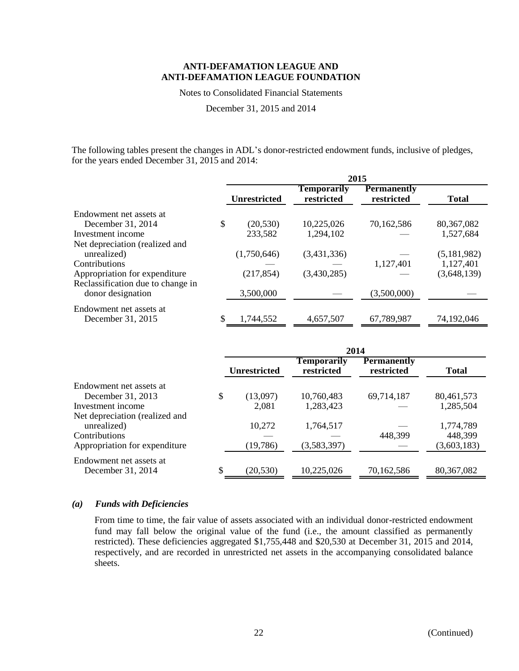Notes to Consolidated Financial Statements

December 31, 2015 and 2014

The following tables present the changes in ADL's donor-restricted endowment funds, inclusive of pledges, for the years ended December 31, 2015 and 2014:

|                                   | 2015                |                                  |                                  |              |
|-----------------------------------|---------------------|----------------------------------|----------------------------------|--------------|
|                                   | <b>Unrestricted</b> | <b>Temporarily</b><br>restricted | <b>Permanently</b><br>restricted | <b>Total</b> |
| Endowment net assets at           |                     |                                  |                                  |              |
| December 31, 2014                 | \$<br>(20, 530)     | 10,225,026                       | 70,162,586                       | 80, 367, 082 |
| Investment income                 | 233,582             | 1,294,102                        |                                  | 1,527,684    |
| Net depreciation (realized and    |                     |                                  |                                  |              |
| unrealized)                       | (1,750,646)         | (3,431,336)                      |                                  | (5,181,982)  |
| Contributions                     |                     |                                  | 1,127,401                        | 1,127,401    |
| Appropriation for expenditure     | (217, 854)          | (3,430,285)                      |                                  | (3,648,139)  |
| Reclassification due to change in |                     |                                  |                                  |              |
| donor designation                 | 3,500,000           |                                  | (3,500,000)                      |              |
| Endowment net assets at           |                     |                                  |                                  |              |
| December 31, 2015                 | 1,744,552           | 4,657,507                        | 67,789,987                       | 74,192,046   |

|                                | 2014                |                                  |                                  |              |  |  |
|--------------------------------|---------------------|----------------------------------|----------------------------------|--------------|--|--|
|                                | <b>Unrestricted</b> | <b>Temporarily</b><br>restricted | <b>Permanently</b><br>restricted | <b>Total</b> |  |  |
| Endowment net assets at        |                     |                                  |                                  |              |  |  |
| December 31, 2013              | \$<br>(13,097)      | 10,760,483                       | 69,714,187                       | 80,461,573   |  |  |
| Investment income              | 2,081               | 1,283,423                        |                                  | 1,285,504    |  |  |
| Net depreciation (realized and |                     |                                  |                                  |              |  |  |
| unrealized)                    | 10,272              | 1,764,517                        |                                  | 1,774,789    |  |  |
| Contributions                  |                     |                                  | 448,399                          | 448,399      |  |  |
| Appropriation for expenditure  | (19, 786)           | (3,583,397)                      |                                  | (3,603,183)  |  |  |
| Endowment net assets at        |                     |                                  |                                  |              |  |  |
| December 31, 2014              | \$<br>(20, 530)     | 10,225,026                       | 70,162,586                       | 80, 367, 082 |  |  |

#### *(a) Funds with Deficiencies*

From time to time, the fair value of assets associated with an individual donor-restricted endowment fund may fall below the original value of the fund (i.e., the amount classified as permanently restricted). These deficiencies aggregated \$1,755,448 and \$20,530 at December 31, 2015 and 2014, respectively, and are recorded in unrestricted net assets in the accompanying consolidated balance sheets.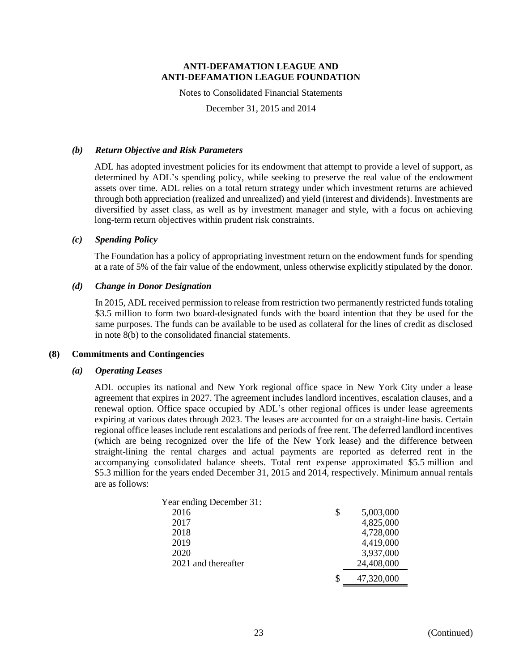Notes to Consolidated Financial Statements

December 31, 2015 and 2014

#### *(b) Return Objective and Risk Parameters*

ADL has adopted investment policies for its endowment that attempt to provide a level of support, as determined by ADL's spending policy, while seeking to preserve the real value of the endowment assets over time. ADL relies on a total return strategy under which investment returns are achieved through both appreciation (realized and unrealized) and yield (interest and dividends). Investments are diversified by asset class, as well as by investment manager and style, with a focus on achieving long-term return objectives within prudent risk constraints.

## *(c) Spending Policy*

The Foundation has a policy of appropriating investment return on the endowment funds for spending at a rate of 5% of the fair value of the endowment, unless otherwise explicitly stipulated by the donor.

## *(d) Change in Donor Designation*

In 2015, ADL received permission to release from restriction two permanently restricted funds totaling \$3.5 million to form two board-designated funds with the board intention that they be used for the same purposes. The funds can be available to be used as collateral for the lines of credit as disclosed in note 8(b) to the consolidated financial statements.

#### **(8) Commitments and Contingencies**

#### *(a) Operating Leases*

ADL occupies its national and New York regional office space in New York City under a lease agreement that expires in 2027. The agreement includes landlord incentives, escalation clauses, and a renewal option. Office space occupied by ADL's other regional offices is under lease agreements expiring at various dates through 2023. The leases are accounted for on a straight-line basis. Certain regional office leases include rent escalations and periods of free rent. The deferred landlord incentives (which are being recognized over the life of the New York lease) and the difference between straight-lining the rental charges and actual payments are reported as deferred rent in the accompanying consolidated balance sheets. Total rent expense approximated \$5.5 million and \$5.3 million for the years ended December 31, 2015 and 2014, respectively. Minimum annual rentals are as follows:

| Year ending December 31: |                  |
|--------------------------|------------------|
| 2016                     | \$<br>5,003,000  |
| 2017                     | 4,825,000        |
| 2018                     | 4,728,000        |
| 2019                     | 4,419,000        |
| 2020                     | 3,937,000        |
| 2021 and thereafter      | 24,408,000       |
|                          | \$<br>47,320,000 |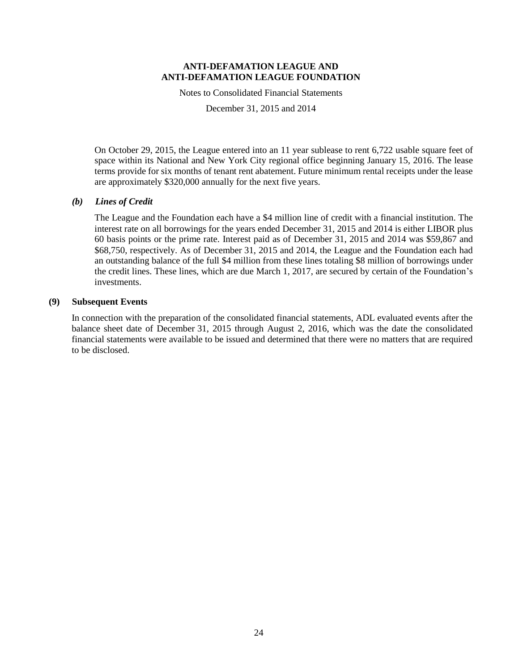Notes to Consolidated Financial Statements

December 31, 2015 and 2014

On October 29, 2015, the League entered into an 11 year sublease to rent 6,722 usable square feet of space within its National and New York City regional office beginning January 15, 2016. The lease terms provide for six months of tenant rent abatement. Future minimum rental receipts under the lease are approximately \$320,000 annually for the next five years.

## *(b) Lines of Credit*

The League and the Foundation each have a \$4 million line of credit with a financial institution. The interest rate on all borrowings for the years ended December 31, 2015 and 2014 is either LIBOR plus 60 basis points or the prime rate. Interest paid as of December 31, 2015 and 2014 was \$59,867 and \$68,750, respectively. As of December 31, 2015 and 2014, the League and the Foundation each had an outstanding balance of the full \$4 million from these lines totaling \$8 million of borrowings under the credit lines. These lines, which are due March 1, 2017, are secured by certain of the Foundation's investments.

#### **(9) Subsequent Events**

In connection with the preparation of the consolidated financial statements, ADL evaluated events after the balance sheet date of December 31, 2015 through August 2, 2016, which was the date the consolidated financial statements were available to be issued and determined that there were no matters that are required to be disclosed.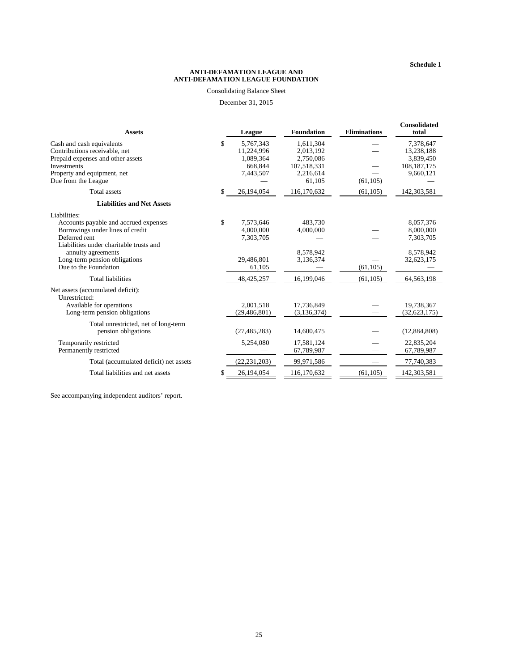## Consolidating Balance Sheet

## December 31, 2015

| <b>Assets</b>                                                                                                                                                                                                                         |    | League                                                       | <b>Foundation</b>                                                         | <b>Eliminations</b> | <b>Consolidated</b><br>total                                       |
|---------------------------------------------------------------------------------------------------------------------------------------------------------------------------------------------------------------------------------------|----|--------------------------------------------------------------|---------------------------------------------------------------------------|---------------------|--------------------------------------------------------------------|
| Cash and cash equivalents<br>Contributions receivable, net<br>Prepaid expenses and other assets<br><b>Investments</b><br>Property and equipment, net<br>Due from the League                                                           | \$ | 5,767,343<br>11,224,996<br>1,089,364<br>668,844<br>7,443,507 | 1,611,304<br>2,013,192<br>2,750,086<br>107,518,331<br>2,216,614<br>61.105 | (61, 105)           | 7,378,647<br>13,238,188<br>3,839,450<br>108, 187, 175<br>9,660,121 |
| <b>Total assets</b>                                                                                                                                                                                                                   | S  | 26,194,054                                                   | 116,170,632                                                               | (61, 105)           | 142,303,581                                                        |
| <b>Liabilities and Net Assets</b>                                                                                                                                                                                                     |    |                                                              |                                                                           |                     |                                                                    |
| Liabilities:<br>Accounts payable and accrued expenses<br>Borrowings under lines of credit<br>Deferred rent<br>Liabilities under charitable trusts and<br>annuity agreements<br>Long-term pension obligations<br>Due to the Foundation | \$ | 7,573,646<br>4,000,000<br>7,303,705<br>29,486,801<br>61.105  | 483,730<br>4,000,000<br>8,578,942<br>3,136,374                            | (61, 105)           | 8,057,376<br>8,000,000<br>7,303,705<br>8,578,942<br>32,623,175     |
| <b>Total liabilities</b>                                                                                                                                                                                                              |    | 48, 425, 257                                                 | 16,199,046                                                                | (61, 105)           | 64,563,198                                                         |
| Net assets (accumulated deficit):<br>Unrestricted:<br>Available for operations<br>Long-term pension obligations                                                                                                                       |    | 2.001.518<br>(29, 486, 801)                                  | 17.736.849<br>(3, 136, 374)                                               |                     | 19,738,367<br>(32, 623, 175)                                       |
| Total unrestricted, net of long-term<br>pension obligations                                                                                                                                                                           |    | (27, 485, 283)                                               | 14,600,475                                                                |                     | (12,884,808)                                                       |
| Temporarily restricted<br>Permanently restricted                                                                                                                                                                                      |    | 5,254,080                                                    | 17,581,124<br>67,789,987                                                  |                     | 22,835,204<br>67,789,987                                           |
| Total (accumulated deficit) net assets                                                                                                                                                                                                |    | (22, 231, 203)                                               | 99,971,586                                                                |                     | 77,740,383                                                         |
| Total liabilities and net assets                                                                                                                                                                                                      |    | 26,194,054                                                   | 116,170,632                                                               | (61, 105)           | 142,303,581                                                        |
|                                                                                                                                                                                                                                       |    |                                                              |                                                                           |                     |                                                                    |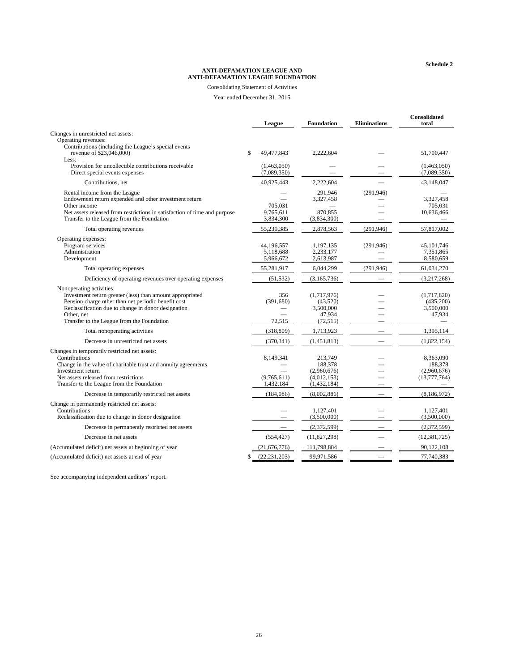**Schedule 2**

# **ANTI-DEFAMATION LEAGUE AND ANTI-DEFAMATION LEAGUE FOUNDATION**

Consolidating Statement of Activities

Year ended December 31, 2015

|                                                                                                                                                                                                                                                                 | League                                | <b>Foundation</b>                                               | <b>Eliminations</b>      | <b>Consolidated</b><br>total                        |
|-----------------------------------------------------------------------------------------------------------------------------------------------------------------------------------------------------------------------------------------------------------------|---------------------------------------|-----------------------------------------------------------------|--------------------------|-----------------------------------------------------|
| Changes in unrestricted net assets:                                                                                                                                                                                                                             |                                       |                                                                 |                          |                                                     |
| Operating revenues:<br>Contributions (including the League's special events<br>revenue of \$23,046,000)<br>Less:                                                                                                                                                | \$<br>49,477,843                      | 2,222,604                                                       |                          | 51,700,447                                          |
| Provision for uncollectible contributions receivable<br>Direct special events expenses                                                                                                                                                                          | (1,463,050)<br>(7,089,350)            |                                                                 |                          | (1,463,050)<br>(7,089,350)                          |
| Contributions, net                                                                                                                                                                                                                                              | 40,925,443                            | 2,222,604                                                       |                          | 43,148,047                                          |
| Rental income from the League<br>Endowment return expended and other investment return<br>Other income<br>Net assets released from restrictions in satisfaction of time and purpose<br>Transfer to the League from the Foundation                               | 705,031<br>9,765,611<br>3,834,300     | 291,946<br>3,327,458<br>870,855<br>(3,834,300)                  | (291.946)                | 3.327.458<br>705,031<br>10,636,466                  |
| Total operating revenues                                                                                                                                                                                                                                        | 55,230,385                            | 2,878,563                                                       | (291.946)                | 57,817,002                                          |
| Operating expenses:<br>Program services<br>Administration<br>Development                                                                                                                                                                                        | 44,196,557<br>5,118,688<br>5,966,672  | 1,197,135<br>2,233,177<br>2,613,987                             | (291, 946)               | 45,101,746<br>7,351,865<br>8,580,659                |
| Total operating expenses                                                                                                                                                                                                                                        | 55,281,917                            | 6,044,299                                                       | (291, 946)               | 61,034,270                                          |
| Deficiency of operating revenues over operating expenses                                                                                                                                                                                                        | (51, 532)                             | (3,165,736)                                                     |                          | (3,217,268)                                         |
| Nonoperating activities:<br>Investment return greater (less) than amount appropriated<br>Pension charge other than net periodic benefit cost<br>Reclassification due to change in donor designation<br>Other, net<br>Transfer to the League from the Foundation | 356<br>(391.680)<br>72,515            | (1,717,976)<br>(43,520)<br>3,500,000<br>47,934<br>(72, 515)     | $\overline{\phantom{a}}$ | (1,717,620)<br>(435,200)<br>3,500,000<br>47,934     |
| Total nonoperating activities                                                                                                                                                                                                                                   | (318, 809)                            | 1,713,923                                                       |                          | 1,395,114                                           |
| Decrease in unrestricted net assets                                                                                                                                                                                                                             | (370, 341)                            | (1,451,813)                                                     |                          | (1,822,154)                                         |
| Changes in temporarily restricted net assets:<br>Contributions<br>Change in the value of charitable trust and annuity agreements<br>Investment return<br>Net assets released from restrictions<br>Transfer to the League from the Foundation                    | 8,149,341<br>(9,765,611)<br>1,432,184 | 213,749<br>188,378<br>(2,960,676)<br>(4,012,153)<br>(1,432,184) |                          | 8,363,090<br>188,378<br>(2,960,676)<br>(13,777,764) |
| Decrease in temporarily restricted net assets                                                                                                                                                                                                                   | (184, 086)                            | (8,002,886)                                                     |                          | (8,186,972)                                         |
| Change in permanently restricted net assets:<br>Contributions<br>Reclassification due to change in donor designation                                                                                                                                            |                                       | 1,127,401<br>(3,500,000)                                        |                          | 1,127,401<br>(3,500,000)                            |
| Decrease in permanently restricted net assets                                                                                                                                                                                                                   |                                       | (2,372,599)                                                     |                          | (2,372,599)                                         |
| Decrease in net assets                                                                                                                                                                                                                                          | (554, 427)                            | (11, 827, 298)                                                  |                          | (12, 381, 725)                                      |
| (Accumulated deficit) net assets at beginning of year                                                                                                                                                                                                           | (21,676,776)                          | 111,798,884                                                     |                          | 90,122,108                                          |
| (Accumulated deficit) net assets at end of year                                                                                                                                                                                                                 | \$<br>(22, 231, 203)                  | 99,971,586                                                      |                          | 77,740,383                                          |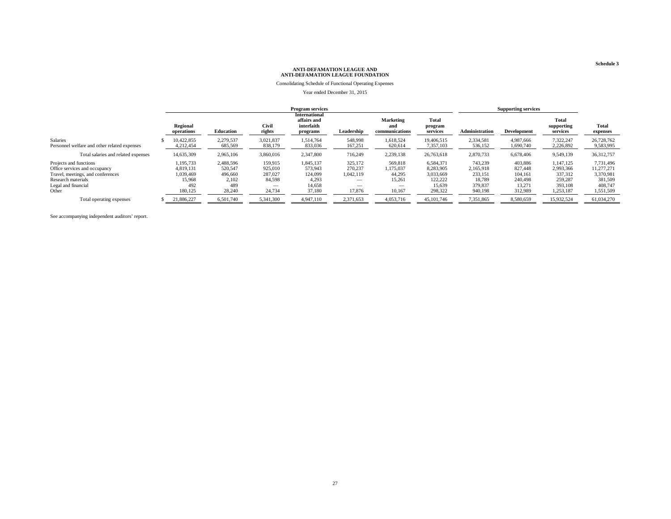#### Consolidating Schedule of Functional Operating Expenses

Year ended December 31, 2015

|                                                                                                                                                    | <b>Program services</b>                                         |                                                           |                                                          |                                                               |                                                       |                                                           | <b>Supporting services</b>                                          |                                                                 |                                                               |                                                                      |                                                                         |
|----------------------------------------------------------------------------------------------------------------------------------------------------|-----------------------------------------------------------------|-----------------------------------------------------------|----------------------------------------------------------|---------------------------------------------------------------|-------------------------------------------------------|-----------------------------------------------------------|---------------------------------------------------------------------|-----------------------------------------------------------------|---------------------------------------------------------------|----------------------------------------------------------------------|-------------------------------------------------------------------------|
|                                                                                                                                                    | Regional<br>operations                                          | <b>Education</b>                                          | <b>Civil</b><br>rights                                   | <b>International</b><br>affairs and<br>interfaith<br>programs | Leadership                                            | <b>Marketing</b><br>and<br>communications                 | <b>Total</b><br>program<br>services                                 | Administration                                                  | Development                                                   | Total<br>supporting<br>services                                      | Total<br>expenses                                                       |
| <b>Salaries</b><br>Personnel welfare and other related expenses                                                                                    | 10,422,855<br>4,212,454                                         | 2.279.537<br>685,569                                      | 3.021.837<br>838,179                                     | 1.514.764<br>833,036                                          | 548,998<br>167,251                                    | 1.618.524<br>620,614                                      | 19,406.515<br>7,357,103                                             | 2,334,581<br>536,152                                            | 4.987.666<br>1,690,740                                        | 7.322.247<br>2,226,892                                               | 26,728,762<br>9,583,995                                                 |
| Total salaries and related expenses                                                                                                                | 14,635,309                                                      | 2,965,106                                                 | 3,860,016                                                | 2,347,800                                                     | 716,249                                               | 2,239,138                                                 | 26,763,618                                                          | 2,870,733                                                       | 6,678,406                                                     | 9,549,139                                                            | 36, 312, 757                                                            |
| Projects and functions<br>Office services and occupancy<br>Travel, meetings, and conferences<br>Research materials<br>Legal and financial<br>Other | 1,195,733<br>4,819,131<br>1.039.469<br>15,968<br>492<br>180,125 | 2.488.596<br>520,547<br>496,660<br>2,102<br>489<br>28,240 | 159,915<br>925,010<br>287,027<br>84,598<br>$-$<br>24,734 | 1.845.137<br>573,943<br>124.099<br>4.293<br>14.658<br>37,180  | 325,172<br>270,237<br>1,042,119<br>--<br>--<br>17,876 | 569.818<br>1,175,037<br>44.295<br>15,261<br>$-$<br>10,167 | 6,584,371<br>8.283.905<br>3.033.669<br>122.222<br>15.639<br>298,322 | 743,239<br>2,165,918<br>233,151<br>18.789<br>379,837<br>940,198 | 403,886<br>827,448<br>104.161<br>240,498<br>13.271<br>312,989 | 1,147,125<br>2,993,366<br>337,312<br>259,287<br>393,108<br>1,253,187 | 7.731.496<br>11,277,271<br>3.370.981<br>381,509<br>408,747<br>1,551,509 |
| Total operating expenses                                                                                                                           | 21.886.227                                                      | 6.501.740                                                 | 5.341.300                                                | 4,947,110                                                     | 2,371,653                                             | 4.053.716                                                 | 45, 101, 746                                                        | 7.351.865                                                       | 8.580.659                                                     | 15.932.524                                                           | 61,034,270                                                              |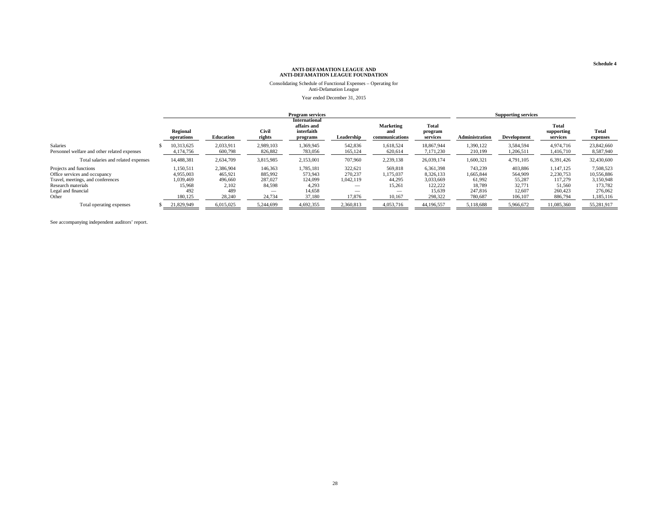## Consolidating Schedule of Functional Expenses – Operating for Anti-Defamation League

Year ended December 31, 2015

|                                                                                                                                                    | <b>Program services</b>                                         |                                                           |                                                   |                                                              |                                                 |                                                         | <b>Supporting services</b>                                          |                                                                |                                                             |                                                                   |                                                                         |
|----------------------------------------------------------------------------------------------------------------------------------------------------|-----------------------------------------------------------------|-----------------------------------------------------------|---------------------------------------------------|--------------------------------------------------------------|-------------------------------------------------|---------------------------------------------------------|---------------------------------------------------------------------|----------------------------------------------------------------|-------------------------------------------------------------|-------------------------------------------------------------------|-------------------------------------------------------------------------|
|                                                                                                                                                    | Regional<br>operations                                          | <b>Education</b>                                          | Civil<br>rights                                   | International<br>affairs and<br>interfaith<br>programs       | Leadership                                      | <b>Marketing</b><br>and<br>communications               | Total<br>program<br>services                                        | <b>Administration</b>                                          | <b>Development</b>                                          | <b>Total</b><br>supporting<br>services                            | Total<br>expenses                                                       |
| <b>Salaries</b><br>Personnel welfare and other related expenses                                                                                    | 10.313.625<br>4,174,756                                         | 2,033,911<br>600,798                                      | 2.989.103<br>826,882                              | 1,369,945<br>783,056                                         | 542,836<br>165,124                              | 1,618,524<br>620,614                                    | 18,867,944<br>7,171,230                                             | 1.390.122<br>210,199                                           | 3.584.594<br>1,206,511                                      | 4.974.716<br>1,416,710                                            | 23,842,660<br>8,587,940                                                 |
| Total salaries and related expenses                                                                                                                | 14,488,381                                                      | 2,634,709                                                 | 3,815,985                                         | 2,153,001                                                    | 707,960                                         | 2,239,138                                               | 26,039,174                                                          | 1,600,321                                                      | 4,791,105                                                   | 6.391.426                                                         | 32,430,600                                                              |
| Projects and functions<br>Office services and occupancy<br>Travel, meetings, and conferences<br>Research materials<br>Legal and financial<br>Other | 1,150,511<br>4.955.003<br>1.039.469<br>15,968<br>492<br>180,125 | 2,386,904<br>465,921<br>496,660<br>2,102<br>489<br>28,240 | 146,363<br>885.992<br>287.027<br>84,598<br>24,734 | 1,785,181<br>573,943<br>124,099<br>4.293<br>14,658<br>37,180 | 322,621<br>270,237<br>1,042,119<br>--<br>17,876 | 569,818<br>1,175,037<br>44,295<br>15,261<br>–<br>10,167 | 6.361.398<br>8.326.133<br>3.033.669<br>122.222<br>15,639<br>298,322 | 743.239<br>1.665.844<br>61.992<br>18.789<br>247.816<br>780,687 | 403,886<br>564,909<br>55,287<br>32,771<br>12,607<br>106,107 | 1.147.125<br>2.230.753<br>117.279<br>51,560<br>260,423<br>886,794 | 7,508,523<br>10,556,886<br>3.150.948<br>173,782<br>276,062<br>1,185,116 |
| Total operating expenses                                                                                                                           | 21,829,949                                                      | 6,015,025                                                 | 5,244,699                                         | 4,692,355                                                    | 2,360,813                                       | 4,053,716                                               | 44,196,557                                                          | 5,118,688                                                      | 5,966,672                                                   | 11,085,360                                                        | 55,281,917                                                              |

See accompanying independent auditors' report.

**Schedule 4**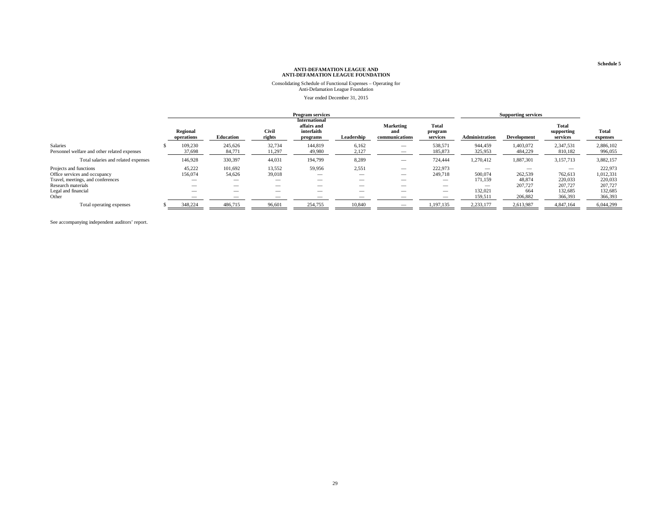Consolidating Schedule of Functional Expenses – Operating for Anti-Defamation League Foundation

Year ended December 31, 2015

|                                                                 | <b>Program services</b>  |                          |                  |                                                               |                          |                                    |                                     | <b>Supporting services</b> |                      |                                        |                          |
|-----------------------------------------------------------------|--------------------------|--------------------------|------------------|---------------------------------------------------------------|--------------------------|------------------------------------|-------------------------------------|----------------------------|----------------------|----------------------------------------|--------------------------|
|                                                                 | Regional<br>operations   | Education                | Civil<br>rights  | <b>International</b><br>affairs and<br>interfaith<br>programs | Leadership               | Marketing<br>and<br>communications | <b>Total</b><br>program<br>services | <b>Administration</b>      | Development          | <b>Total</b><br>supporting<br>services | <b>Total</b><br>expenses |
| <b>Salaries</b><br>Personnel welfare and other related expenses | 109.230<br>37,698        | 245.626<br>84,771        | 32,734<br>11,297 | 144,819<br>49,980                                             | 6,162<br>2,127           |                                    | 538,571<br>185,873                  | 944.459<br>325,953         | 1.403.072<br>484,229 | 2.347.531<br>810,182                   | 2.886.102<br>996,055     |
| Total salaries and related expenses                             | 146,928                  | 330,397                  | 44,031           | 194,799                                                       | 8,289                    |                                    | 724,444                             | 1.270.412                  | 1,887,301            | 3,157,713                              | 3,882,157                |
| Projects and functions                                          | 45,222                   | 101,692                  | 13,552           | 59,956                                                        | 2,551                    | $\overline{\phantom{m}}$           | 222,973                             |                            |                      |                                        | 222,973                  |
| Office services and occupancy                                   | 156,074                  | 54,626                   | 39,018           | $-$                                                           | $\overline{\phantom{a}}$ | $\overline{\phantom{m}}$           | 249.718                             | 500,074                    | 262,539              | 762,613                                | 1,012,331                |
| Travel, meetings, and conferences                               | $-$                      | $-$                      | $-$              | $-$                                                           | $\overline{\phantom{a}}$ | $\overline{\phantom{m}}$           |                                     | 171.159                    | 48.874               | 220,033                                | 220,033                  |
| Research materials                                              | $\overline{\phantom{a}}$ | $\overline{\phantom{a}}$ | $-$              | $-$                                                           | $\overline{\phantom{a}}$ |                                    | $\overline{\phantom{a}}$            |                            | 207,727              | 207,727                                | 207,727                  |
| Legal and financial                                             | $-$                      |                          | $-$              | $-$                                                           | $\overline{\phantom{a}}$ |                                    |                                     | 132,021                    | 664                  | 132,685                                | 132,685                  |
| Other                                                           |                          | $-$                      | –                | –                                                             | $\overline{\phantom{m}}$ | –                                  |                                     | 159,511                    | 206,882              | 366,393                                | 366,393                  |
| Total operating expenses                                        | 348,224                  | 486,715                  | 96,601           | 254,755                                                       | 10,840                   | –                                  | 1,197,135                           | 2,233,177                  | 2,613,987            | 4,847,164                              | 6,044,299                |

See accompanying independent auditors' report.

**Schedule 5**